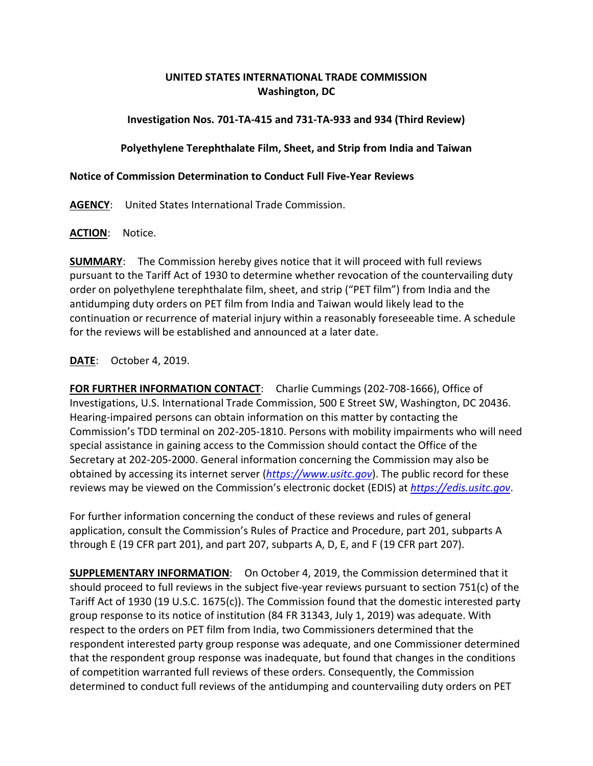## **UNITED STATES INTERNATIONAL TRADE COMMISSION Washington, DC**

### **Investigation Nos. 701-TA-415 and 731-TA-933 and 934 (Third Review)**

### **Polyethylene Terephthalate Film, Sheet, and Strip from India and Taiwan**

### **Notice of Commission Determination to Conduct Full Five-Year Reviews**

**AGENCY**: United States International Trade Commission.

#### **ACTION**: Notice.

**SUMMARY**: The Commission hereby gives notice that it will proceed with full reviews pursuant to the Tariff Act of 1930 to determine whether revocation of the countervailing duty order on polyethylene terephthalate film, sheet, and strip ("PET film") from India and the antidumping duty orders on PET film from India and Taiwan would likely lead to the continuation or recurrence of material injury within a reasonably foreseeable time. A schedule for the reviews will be established and announced at a later date.

# **DATE**: October 4, 2019.

**FOR FURTHER INFORMATION CONTACT**: Charlie Cummings (202-708-1666), Office of Investigations, U.S. International Trade Commission, 500 E Street SW, Washington, DC 20436. Hearing-impaired persons can obtain information on this matter by contacting the Commission's TDD terminal on 202-205-1810. Persons with mobility impairments who will need special assistance in gaining access to the Commission should contact the Office of the Secretary at 202-205-2000. General information concerning the Commission may also be obtained by accessing its internet server (*[https://www.usitc.gov](https://www.usitc.gov/)*). The public record for these reviews may be viewed on the Commission's electronic docket (EDIS) at *[https://edis.usitc.gov](https://edis.usitc.gov/)*.

For further information concerning the conduct of these reviews and rules of general application, consult the Commission's Rules of Practice and Procedure, part 201, subparts A through E (19 CFR part 201), and part 207, subparts A, D, E, and F (19 CFR part 207).

**SUPPLEMENTARY INFORMATION**: On October 4, 2019, the Commission determined that it should proceed to full reviews in the subject five-year reviews pursuant to section 751(c) of the Tariff Act of 1930 (19 U.S.C. 1675(c)). The Commission found that the domestic interested party group response to its notice of institution (84 FR 31343, July 1, 2019) was adequate. With respect to the orders on PET film from India, two Commissioners determined that the respondent interested party group response was adequate, and one Commissioner determined that the respondent group response was inadequate, but found that changes in the conditions of competition warranted full reviews of these orders. Consequently, the Commission determined to conduct full reviews of the antidumping and countervailing duty orders on PET